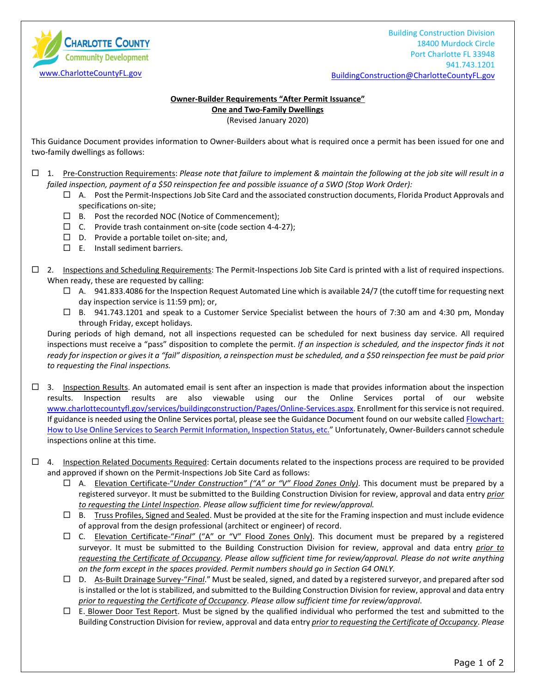**CHARLOTTE COUNTY Community Development** [www.CharlotteCountyFL.gov](http://www.charlottecountyfl.gov/)

Building Construction Division 18400 Murdock Circle Port Charlotte FL 33948 941.743.1201 [BuildingConstruction@CharlotteCountyFL.gov](mailto:BuildingConstruction@CharlotteCountyFL.gov)

## **Owner-Builder Requirements "After Permit Issuance" One and Two-Family Dwellings**

(Revised January 2020)

This Guidance Document provides information to Owner-Builders about what is required once a permit has been issued for one and two-family dwellings as follows:

 1. Pre-Construction Requirements: *Please note that failure to implement & maintain the following at the job site will result in a failed inspection, payment of a \$50 reinspection fee and possible issuance of a SWO (Stop Work Order):*

- $\Box$  A. Post the Permit-Inspections Job Site Card and the associated construction documents, Florida Product Approvals and specifications on-site;
- $\Box$  B. Post the recorded NOC (Notice of Commencement);
- $\Box$  C. Provide trash containment on-site (code section 4-4-27);
- $\square$  D. Provide a portable toilet on-site; and,
- $\square$  E. Install sediment barriers.
- $\Box$  2. Inspections and Scheduling Requirements: The Permit-Inspections Job Site Card is printed with a list of required inspections. When ready, these are requested by calling:
	- $\Box$  A. 941.833.4086 for the Inspection Request Automated Line which is available 24/7 (the cutoff time for requesting next day inspection service is 11:59 pm); or,
	- B. 941.743.1201 and speak to a Customer Service Specialist between the hours of 7:30 am and 4:30 pm, Monday through Friday, except holidays.

During periods of high demand, not all inspections requested can be scheduled for next business day service. All required inspections must receive a "pass" disposition to complete the permit. *If an inspection is scheduled, and the inspector finds it not ready for inspection or gives it a "fail" disposition, a reinspection must be scheduled, and a \$50 reinspection fee must be paid prior to requesting the Final inspections.*

- $\Box$  3. Inspection Results. An automated email is sent after an inspection is made that provides information about the inspection results. Inspection results are also viewable using our the Online Services portal of our website [www.charlottecountyfl.gov/services/buildingconstruction/Pages/Online-Services.aspx.](http://www.charlottecountyfl.gov/services/buildingconstruction/Pages/Online-Services.aspx) Enrollment for thisservice is not required. If guidance is needed using the Online Services portal, please see the Guidance Document found on our website called Flowchart: [How to Use Online Services to Search Permit Information, Inspection Status, etc."](http://www.charlottecountyfl.gov/services/buildingconstruction/Documents/FlowchartHowToUseOnlineServicesForPermitInfo.pdf) Unfortunately, Owner-Builders cannot schedule inspections online at this time.
- $\Box$  4. Inspection Related Documents Required: Certain documents related to the inspections process are required to be provided and approved if shown on the Permit-Inspections Job Site Card as follows:
	- A. Elevation Certificate-"*Under Construction" ("A" or "V" Flood Zones Only)*. This document must be prepared by a registered surveyor. It must be submitted to the Building Construction Division for review, approval and data entry *prior to requesting the Lintel Inspection*. *Please allow sufficient time for review/approval.*
	- $\Box$  B. Truss Profiles, Signed and Sealed. Must be provided at the site for the Framing inspection and must include evidence of approval from the design professional (architect or engineer) of record.
	- C. Elevation Certificate-"*Final"* ("A" or "V" Flood Zones Only). This document must be prepared by a registered surveyor. It must be submitted to the Building Construction Division for review, approval and data entry *prior to requesting the Certificate of Occupancy*. *Please allow sufficient time for review/approval. Please do not write anything on the form except in the spaces provided. Permit numbers should go in Section G4 ONLY.*
	- D. As-Built Drainage Survey-"*Final*." Must be sealed, signed, and dated by a registered surveyor, and prepared after sod is installed or the lot is stabilized, and submitted to the Building Construction Division for review, approval and data entry *prior to requesting the Certificate of Occupancy*. *Please allow sufficient time for review/approval*.
	- $\Box$  E. Blower Door Test Report. Must be signed by the qualified individual who performed the test and submitted to the Building Construction Division for review, approval and data entry *prior to requesting the Certificate of Occupancy*. *Please*